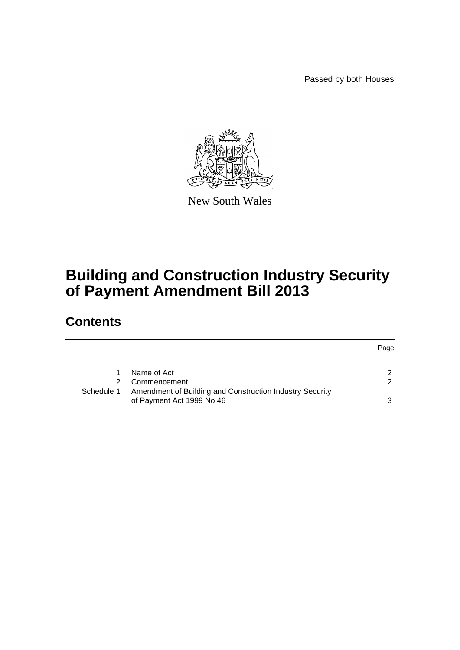Passed by both Houses



New South Wales

## **Building and Construction Industry Security of Payment Amendment Bill 2013**

## **Contents**

|            |                                                          | Page          |
|------------|----------------------------------------------------------|---------------|
|            | Name of Act                                              |               |
| 2.         | Commencement                                             | $\mathcal{P}$ |
| Schedule 1 | Amendment of Building and Construction Industry Security |               |
|            | of Payment Act 1999 No 46                                | ີ             |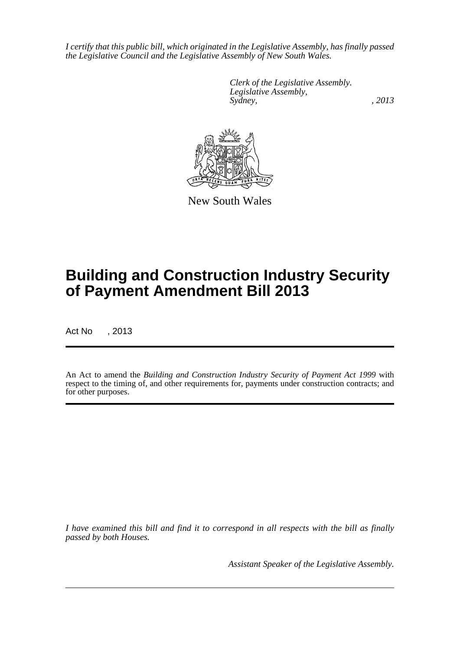*I certify that this public bill, which originated in the Legislative Assembly, has finally passed the Legislative Council and the Legislative Assembly of New South Wales.*

> *Clerk of the Legislative Assembly. Legislative Assembly, Sydney, , 2013*



New South Wales

# **Building and Construction Industry Security of Payment Amendment Bill 2013**

Act No , 2013

An Act to amend the *Building and Construction Industry Security of Payment Act 1999* with respect to the timing of, and other requirements for, payments under construction contracts; and for other purposes.

*I have examined this bill and find it to correspond in all respects with the bill as finally passed by both Houses.*

*Assistant Speaker of the Legislative Assembly.*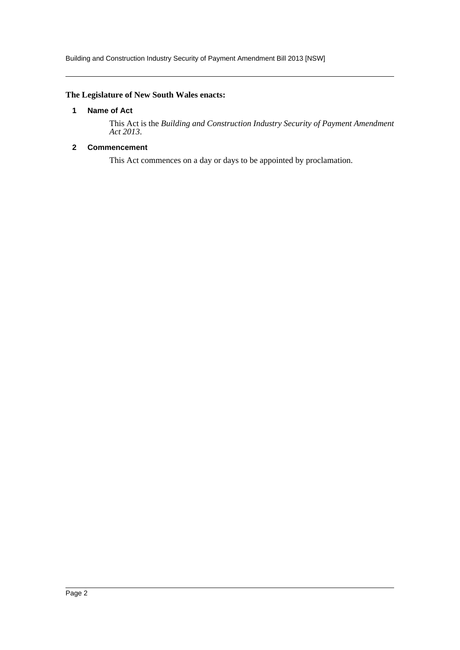Building and Construction Industry Security of Payment Amendment Bill 2013 [NSW]

#### <span id="page-2-0"></span>**The Legislature of New South Wales enacts:**

#### **1 Name of Act**

This Act is the *Building and Construction Industry Security of Payment Amendment Act 2013*.

#### <span id="page-2-1"></span>**2 Commencement**

This Act commences on a day or days to be appointed by proclamation.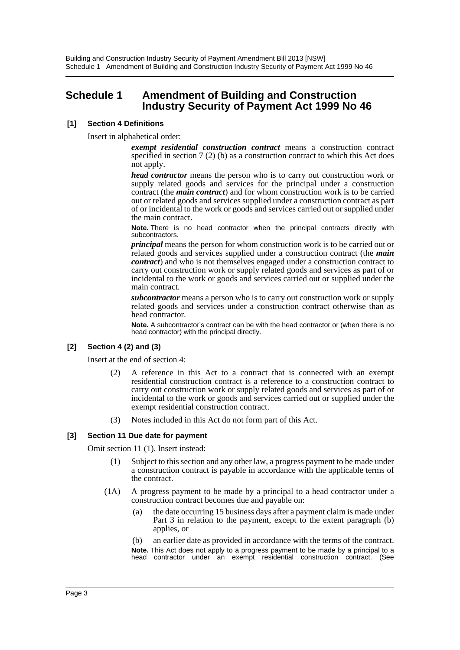### <span id="page-3-0"></span>**Schedule 1 Amendment of Building and Construction Industry Security of Payment Act 1999 No 46**

#### **[1] Section 4 Definitions**

Insert in alphabetical order:

*exempt residential construction contract* means a construction contract specified in section 7 (2) (b) as a construction contract to which this Act does not apply.

*head contractor* means the person who is to carry out construction work or supply related goods and services for the principal under a construction contract (the *main contract*) and for whom construction work is to be carried out or related goods and services supplied under a construction contract as part of or incidental to the work or goods and services carried out or supplied under the main contract.

**Note.** There is no head contractor when the principal contracts directly with subcontractors.

*principal* means the person for whom construction work is to be carried out or related goods and services supplied under a construction contract (the *main contract*) and who is not themselves engaged under a construction contract to carry out construction work or supply related goods and services as part of or incidental to the work or goods and services carried out or supplied under the main contract.

*subcontractor* means a person who is to carry out construction work or supply related goods and services under a construction contract otherwise than as head contractor.

**Note.** A subcontractor's contract can be with the head contractor or (when there is no head contractor) with the principal directly.

#### **[2] Section 4 (2) and (3)**

Insert at the end of section 4:

- (2) A reference in this Act to a contract that is connected with an exempt residential construction contract is a reference to a construction contract to carry out construction work or supply related goods and services as part of or incidental to the work or goods and services carried out or supplied under the exempt residential construction contract.
- (3) Notes included in this Act do not form part of this Act.

#### **[3] Section 11 Due date for payment**

Omit section 11 (1). Insert instead:

- (1) Subject to this section and any other law, a progress payment to be made under a construction contract is payable in accordance with the applicable terms of the contract.
- (1A) A progress payment to be made by a principal to a head contractor under a construction contract becomes due and payable on:
	- (a) the date occurring 15 business days after a payment claim is made under Part 3 in relation to the payment, except to the extent paragraph (b) applies, or
	- (b) an earlier date as provided in accordance with the terms of the contract. **Note.** This Act does not apply to a progress payment to be made by a principal to a head contractor under an exempt residential construction contract. (See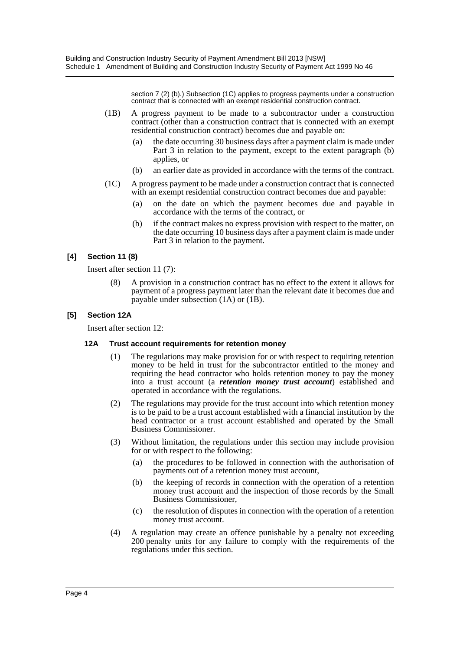section 7 (2) (b).) Subsection (1C) applies to progress payments under a construction contract that is connected with an exempt residential construction contract.

- (1B) A progress payment to be made to a subcontractor under a construction contract (other than a construction contract that is connected with an exempt residential construction contract) becomes due and payable on:
	- (a) the date occurring 30 business days after a payment claim is made under Part 3 in relation to the payment, except to the extent paragraph (b) applies, or
	- (b) an earlier date as provided in accordance with the terms of the contract.
- (1C) A progress payment to be made under a construction contract that is connected with an exempt residential construction contract becomes due and payable:
	- (a) on the date on which the payment becomes due and payable in accordance with the terms of the contract, or
	- (b) if the contract makes no express provision with respect to the matter, on the date occurring 10 business days after a payment claim is made under Part 3 in relation to the payment.

#### **[4] Section 11 (8)**

Insert after section 11 (7):

(8) A provision in a construction contract has no effect to the extent it allows for payment of a progress payment later than the relevant date it becomes due and payable under subsection (1A) or (1B).

#### **[5] Section 12A**

Insert after section 12:

#### **12A Trust account requirements for retention money**

- (1) The regulations may make provision for or with respect to requiring retention money to be held in trust for the subcontractor entitled to the money and requiring the head contractor who holds retention money to pay the money into a trust account (a *retention money trust account*) established and operated in accordance with the regulations.
- (2) The regulations may provide for the trust account into which retention money is to be paid to be a trust account established with a financial institution by the head contractor or a trust account established and operated by the Small Business Commissioner.
- (3) Without limitation, the regulations under this section may include provision for or with respect to the following:
	- (a) the procedures to be followed in connection with the authorisation of payments out of a retention money trust account,
	- (b) the keeping of records in connection with the operation of a retention money trust account and the inspection of those records by the Small Business Commissioner,
	- (c) the resolution of disputes in connection with the operation of a retention money trust account.
- (4) A regulation may create an offence punishable by a penalty not exceeding 200 penalty units for any failure to comply with the requirements of the regulations under this section.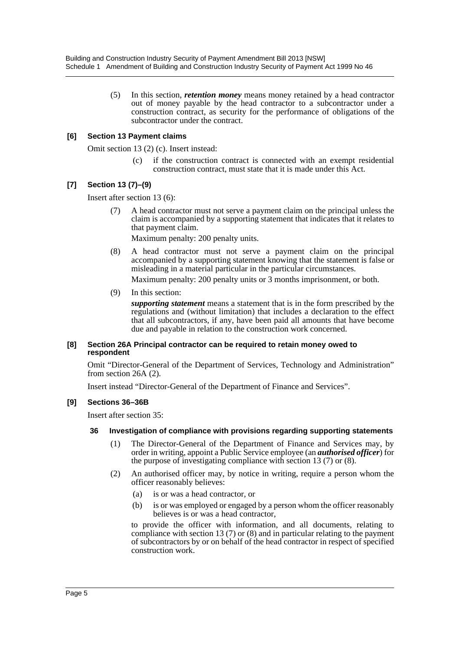(5) In this section, *retention money* means money retained by a head contractor out of money payable by the head contractor to a subcontractor under a construction contract, as security for the performance of obligations of the subcontractor under the contract.

#### **[6] Section 13 Payment claims**

Omit section 13 (2) (c). Insert instead:

if the construction contract is connected with an exempt residential construction contract, must state that it is made under this Act.

#### **[7] Section 13 (7)–(9)**

Insert after section 13 (6):

(7) A head contractor must not serve a payment claim on the principal unless the claim is accompanied by a supporting statement that indicates that it relates to that payment claim.

Maximum penalty: 200 penalty units.

(8) A head contractor must not serve a payment claim on the principal accompanied by a supporting statement knowing that the statement is false or misleading in a material particular in the particular circumstances.

Maximum penalty: 200 penalty units or 3 months imprisonment, or both.

(9) In this section:

*supporting statement* means a statement that is in the form prescribed by the regulations and (without limitation) that includes a declaration to the effect that all subcontractors, if any, have been paid all amounts that have become due and payable in relation to the construction work concerned.

#### **[8] Section 26A Principal contractor can be required to retain money owed to respondent**

Omit "Director-General of the Department of Services, Technology and Administration" from section 26A (2).

Insert instead "Director-General of the Department of Finance and Services".

#### **[9] Sections 36–36B**

Insert after section 35:

#### **36 Investigation of compliance with provisions regarding supporting statements**

- (1) The Director-General of the Department of Finance and Services may, by order in writing, appoint a Public Service employee (an *authorised officer*) for the purpose of investigating compliance with section 13 (7) or (8).
- (2) An authorised officer may, by notice in writing, require a person whom the officer reasonably believes:
	- (a) is or was a head contractor, or
	- (b) is or was employed or engaged by a person whom the officer reasonably believes is or was a head contractor,

to provide the officer with information, and all documents, relating to compliance with section 13 (7) or (8) and in particular relating to the payment of subcontractors by or on behalf of the head contractor in respect of specified construction work.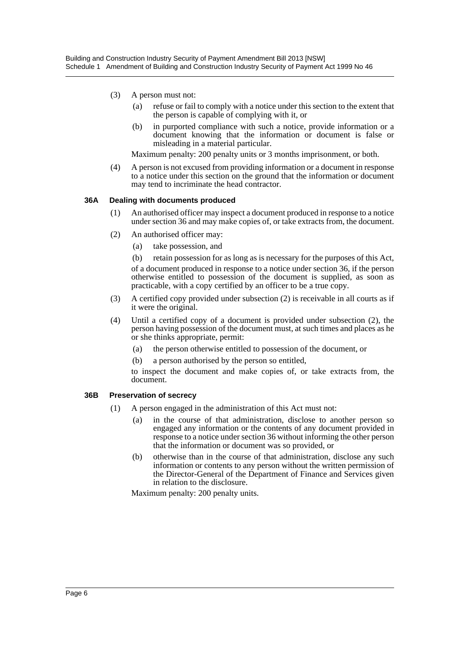- (3) A person must not:
	- (a) refuse or fail to comply with a notice under this section to the extent that the person is capable of complying with it, or
	- (b) in purported compliance with such a notice, provide information or a document knowing that the information or document is false or misleading in a material particular.

Maximum penalty: 200 penalty units or 3 months imprisonment, or both.

(4) A person is not excused from providing information or a document in response to a notice under this section on the ground that the information or document may tend to incriminate the head contractor.

#### **36A Dealing with documents produced**

- (1) An authorised officer may inspect a document produced in response to a notice under section 36 and may make copies of, or take extracts from, the document.
- (2) An authorised officer may:
	- (a) take possession, and
	- (b) retain possession for as long as is necessary for the purposes of this Act,

of a document produced in response to a notice under section 36, if the person otherwise entitled to possession of the document is supplied, as soon as practicable, with a copy certified by an officer to be a true copy.

- (3) A certified copy provided under subsection (2) is receivable in all courts as if it were the original.
- (4) Until a certified copy of a document is provided under subsection (2), the person having possession of the document must, at such times and places as he or she thinks appropriate, permit:
	- (a) the person otherwise entitled to possession of the document, or
	- (b) a person authorised by the person so entitled,

to inspect the document and make copies of, or take extracts from, the document.

#### **36B Preservation of secrecy**

- (1) A person engaged in the administration of this Act must not:
	- (a) in the course of that administration, disclose to another person so engaged any information or the contents of any document provided in response to a notice under section 36 without informing the other person that the information or document was so provided, or
	- (b) otherwise than in the course of that administration, disclose any such information or contents to any person without the written permission of the Director-General of the Department of Finance and Services given in relation to the disclosure.

Maximum penalty: 200 penalty units.